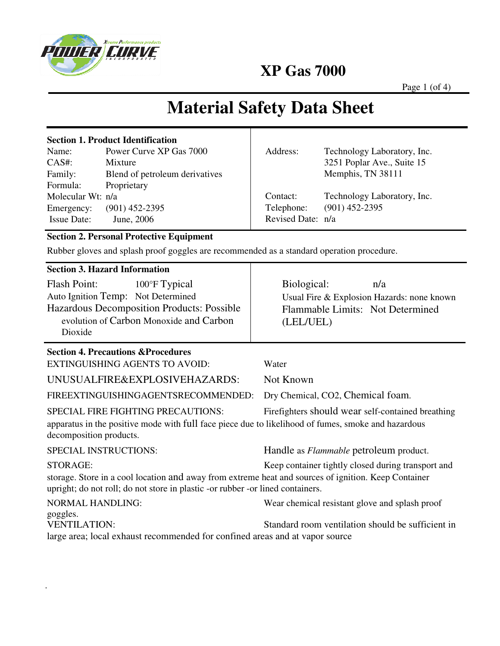**XP Gas 7000** 

Page 1 (of 4)

# **Material Safety Data Sheet**

| <b>Section 1. Product Identification</b><br>Power Curve XP Gas 7000<br>Name:<br>CAS#:<br>Mixture<br>Family:<br>Blend of petroleum derivatives<br>Formula:<br>Proprietary<br>Molecular Wt: n/a<br>$(901)$ 452-2395<br>Emergency:<br><b>Issue Date:</b><br>June, 2006 | Address:<br>Contact:<br>Telephone:<br>Revised Date: n/a                                                           | Technology Laboratory, Inc.<br>3251 Poplar Ave., Suite 15<br>Memphis, TN 38111<br>Technology Laboratory, Inc.<br>$(901)$ 452-2395 |  |
|---------------------------------------------------------------------------------------------------------------------------------------------------------------------------------------------------------------------------------------------------------------------|-------------------------------------------------------------------------------------------------------------------|-----------------------------------------------------------------------------------------------------------------------------------|--|
| <b>Section 2. Personal Protective Equipment</b>                                                                                                                                                                                                                     |                                                                                                                   |                                                                                                                                   |  |
| Rubber gloves and splash proof goggles are recommended as a standard operation procedure.                                                                                                                                                                           |                                                                                                                   |                                                                                                                                   |  |
| <b>Section 3. Hazard Information</b><br><b>Flash Point:</b><br>100°F Typical<br>Auto Ignition Temp: Not Determined<br>Hazardous Decomposition Products: Possible<br>evolution of Carbon Monoxide and Carbon<br>Dioxide                                              | n/a<br>Biological:<br>Usual Fire & Explosion Hazards: none known<br>Flammable Limits: Not Determined<br>(LEL/UEL) |                                                                                                                                   |  |
| <b>Section 4. Precautions &amp; Procedures</b><br><b>EXTINGUISHING AGENTS TO AVOID:</b>                                                                                                                                                                             | Water                                                                                                             |                                                                                                                                   |  |
| UNUSUALFIRE&EXPLOSIVEHAZARDS:                                                                                                                                                                                                                                       | Not Known                                                                                                         |                                                                                                                                   |  |
| FIREEXTINGUISHINGAGENTSRECOMMENDED:                                                                                                                                                                                                                                 | Dry Chemical, CO2, Chemical foam.                                                                                 |                                                                                                                                   |  |
| SPECIAL FIRE FIGHTING PRECAUTIONS:<br>apparatus in the positive mode with full face piece due to likelihood of fumes, smoke and hazardous<br>decomposition products.                                                                                                |                                                                                                                   | Firefighters should wear self-contained breathing                                                                                 |  |
| <b>SPECIAL INSTRUCTIONS:</b>                                                                                                                                                                                                                                        |                                                                                                                   | Handle as <i>Flammable</i> petroleum product.                                                                                     |  |
| STORAGE:<br>storage. Store in a cool location and away from extreme heat and sources of ignition. Keep Container<br>upright; do not roll; do not store in plastic -or rubber -or lined containers.                                                                  |                                                                                                                   | Keep container tightly closed during transport and                                                                                |  |
| <b>NORMAL HANDLING:</b>                                                                                                                                                                                                                                             |                                                                                                                   | Wear chemical resistant glove and splash proof                                                                                    |  |
| goggles.<br><b>VENTILATION:</b><br>large area; local exhaust recommended for confined areas and at vapor source                                                                                                                                                     |                                                                                                                   | Standard room ventilation should be sufficient in                                                                                 |  |



.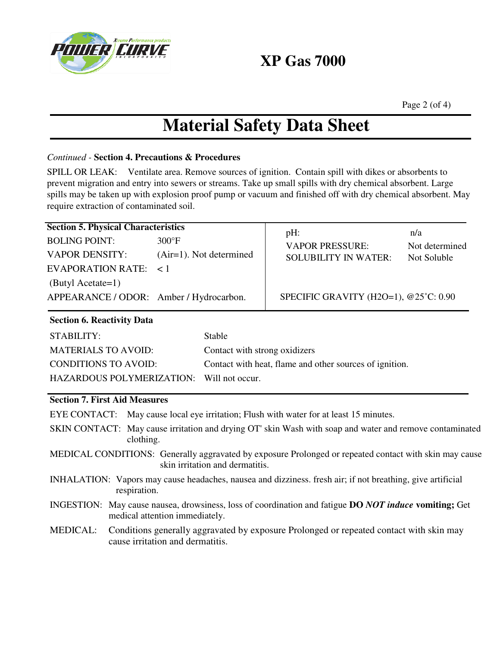

### **XP Gas 7000**

Page 2 (of 4)

### **Material Safety Data Sheet**

#### *Continued -* **Section 4. Precautions & Procedures**

SPILL OR LEAK: Ventilate area. Remove sources of ignition. Contain spill with dikes or absorbents to prevent migration and entry into sewers or streams. Take up small spills with dry chemical absorbent. Large spills may be taken up with explosion proof pump or vacuum and finished off with dry chemical absorbent. May require extraction of contaminated soil.

| <b>Section 5. Physical Characteristics</b><br><b>BOLING POINT:</b><br><b>VAPOR DENSITY:</b><br><b>EVAPORATION RATE:</b><br>(Butyl Acetate=1)            | $300^{\circ}F$<br>$(Air=1)$ . Not determined<br>$\leq$ 1 | pH:<br><b>VAPOR PRESSURE:</b><br><b>SOLUBILITY IN WATER:</b>                                              | n/a<br>Not determined<br>Not Soluble |
|---------------------------------------------------------------------------------------------------------------------------------------------------------|----------------------------------------------------------|-----------------------------------------------------------------------------------------------------------|--------------------------------------|
| APPEARANCE / ODOR: Amber / Hydrocarbon.<br><b>Section 6. Reactivity Data</b><br>STABILITY:<br><b>MATERIALS TO AVOID:</b><br><b>CONDITIONS TO AVOID:</b> | Stable<br>Contact with strong oxidizers                  | SPECIFIC GRAVITY (H2O=1), $@25^{\circ}C: 0.90$<br>Contact with heat, flame and other sources of ignition. |                                      |
|                                                                                                                                                         |                                                          |                                                                                                           |                                      |

HAZARDOUS POLYMERIZATION: Will not occur.

#### **Section 7. First Aid Measures**

EYE CONTACT: May cause local eye irritation; Flush with water for at least 15 minutes.

SKIN CONTACT: May cause irritation and drying OT' skin Wash with soap and water and remove contaminated clothing.

MEDICAL CONDITIONS: Generally aggravated by exposure Prolonged or repeated contact with skin may cause skin irritation and dermatitis.

- INHALATION: Vapors may cause headaches, nausea and dizziness. fresh air; if not breathing, give artificial respiration.
- INGESTION: May cause nausea, drowsiness, loss of coordination and fatigue **DO** *NOT induce* **vomiting;** Get medical attention immediately.
- MEDICAL: Conditions generally aggravated by exposure Prolonged or repeated contact with skin may cause irritation and dermatitis.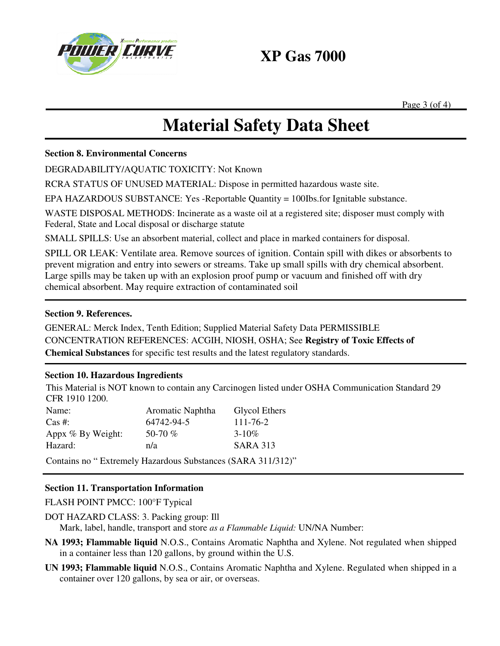

Page  $3$  (of 4)

## **Material Safety Data Sheet**

#### **Section 8. Environmental Concerns**

DEGRADABILITY/AQUATIC TOXICITY: Not Known

RCRA STATUS OF UNUSED MATERIAL: Dispose in permitted hazardous waste site.

EPA HAZARDOUS SUBSTANCE: Yes -Reportable Quantity = 100Ibs.for Ignitable substance.

WASTE DISPOSAL METHODS: Incinerate as a waste oil at a registered site; disposer must comply with Federal, State and Local disposal or discharge statute

SMALL SPILLS: Use an absorbent material, collect and place in marked containers for disposal.

SPILL OR LEAK: Ventilate area. Remove sources of ignition. Contain spill with dikes or absorbents to prevent migration and entry into sewers or streams. Take up small spills with dry chemical absorbent. Large spills may be taken up with an explosion proof pump or vacuum and finished off with dry chemical absorbent. May require extraction of contaminated soil

#### **Section 9. References.**

GENERAL: Merck Index, Tenth Edition; Supplied Material Safety Data PERMISSIBLE CONCENTRATION REFERENCES: ACGIH, NIOSH, OSHA; See **Registry of Toxic Effects of Chemical Substances** for specific test results and the latest regulatory standards.

#### **Section 10. Hazardous Ingredients**

This Material is NOT known to contain any Carcinogen listed under OSHA Communication Standard 29 CFR 1910 1200.

| Glycol Ethers   |
|-----------------|
| $111 - 76 - 2$  |
| $3 - 10\%$      |
| <b>SARA 313</b> |
|                 |

Contains no " Extremely Hazardous Substances (SARA 311/312)"

#### **Section 11. Transportation Information**

FLASH POINT PMCC: 100°F Typical

DOT HAZARD CLASS: 3. Packing group: Ill

Mark, label, handle, transport and store *as a Flammable Liquid:* UN/NA Number:

- **NA 1993; Flammable liquid** N.O.S., Contains Aromatic Naphtha and Xylene. Not regulated when shipped in a container less than 120 gallons, by ground within the U.S.
- **UN 1993; Flammable liquid** N.O.S., Contains Aromatic Naphtha and Xylene. Regulated when shipped in a container over 120 gallons, by sea or air, or overseas.